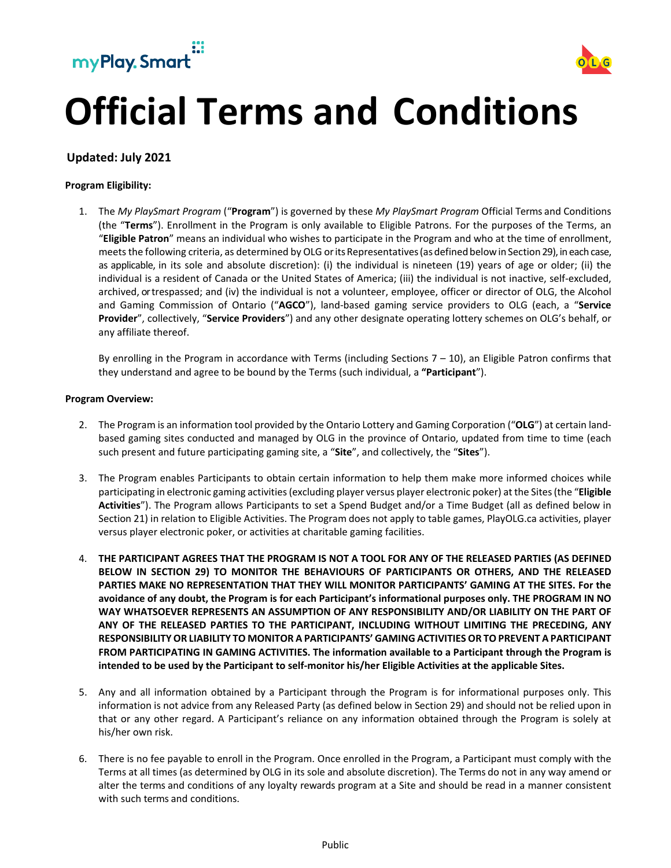



# **Official Terms and Conditions**

## **Updated: July 2021**

#### **Program Eligibility:**

1. The *My PlaySmart Program* ("**Program**") is governed by these *My PlaySmart Program* Official Terms and Conditions (the "**Terms**"). Enrollment in the Program is only available to Eligible Patrons. For the purposes of the Terms, an "**Eligible Patron**" means an individual who wishes to participate in the Program and who at the time of enrollment, meets the following criteria, as determined by OLG or its Representatives (as defined below in Section 29), in each case, as applicable, in its sole and absolute discretion): (i) the individual is nineteen (19) years of age or older; (ii) the individual is a resident of Canada or the United States of America; (iii) the individual is not inactive, self-excluded, archived, or trespassed; and (iv) the individual is not a volunteer, employee, officer or director of OLG, the Alcohol and Gaming Commission of Ontario ("**AGCO**"), land-based gaming service providers to OLG (each, a "**Service Provider**", collectively, "**Service Providers**") and any other designate operating lottery schemes on OLG's behalf, or any affiliate thereof.

By enrolling in the Program in accordance with Terms (including Sections 7 – 10), an Eligible Patron confirms that they understand and agree to be bound by the Terms (such individual, a **"Participant**").

#### **Program Overview:**

- 2. The Program is an information tool provided by the Ontario Lottery and Gaming Corporation ("**OLG**") at certain landbased gaming sites conducted and managed by OLG in the province of Ontario, updated from time to time (each such present and future participating gaming site, a "**Site**", and collectively, the "**Sites**").
- 3. The Program enables Participants to obtain certain information to help them make more informed choices while participating in electronic gaming activities (excluding player versus player electronic poker) at the Sites (the "**Eligible Activities**"). The Program allows Participants to set a Spend Budget and/or a Time Budget (all as defined below in Section 21) in relation to Eligible Activities. The Program does not apply to table games, PlayOLG.ca activities, player versus player electronic poker, or activities at charitable gaming facilities.
- 4. **THE PARTICIPANT AGREES THAT THE PROGRAM IS NOT A TOOL FOR ANY OF THE RELEASED PARTIES (AS DEFINED BELOW IN SECTION 29) TO MONITOR THE BEHAVIOURS OF PARTICIPANTS OR OTHERS, AND THE RELEASED PARTIES MAKE NO REPRESENTATION THAT THEY WILL MONITOR PARTICIPANTS' GAMING AT THE SITES. For the avoidance of any doubt, the Program is for each Participant's informational purposes only. THE PROGRAM IN NO WAY WHATSOEVER REPRESENTS AN ASSUMPTION OF ANY RESPONSIBILITY AND/OR LIABILITY ON THE PART OF ANY OF THE RELEASED PARTIES TO THE PARTICIPANT, INCLUDING WITHOUT LIMITING THE PRECEDING, ANY RESPONSIBILITY OR LIABILITY TO MONITOR A PARTICIPANTS' GAMING ACTIVITIES OR TO PREVENT A PARTICIPANT FROM PARTICIPATING IN GAMING ACTIVITIES. The information available to a Participant through the Program is intended to be used by the Participant to self-monitor his/her Eligible Activities at the applicable Sites.**
- 5. Any and all information obtained by a Participant through the Program is for informational purposes only. This information is not advice from any Released Party (as defined below in Section 29) and should not be relied upon in that or any other regard. A Participant's reliance on any information obtained through the Program is solely at his/her own risk.
- 6. There is no fee payable to enroll in the Program. Once enrolled in the Program, a Participant must comply with the Terms at all times (as determined by OLG in its sole and absolute discretion). The Terms do not in any way amend or alter the terms and conditions of any loyalty rewards program at a Site and should be read in a manner consistent with such terms and conditions.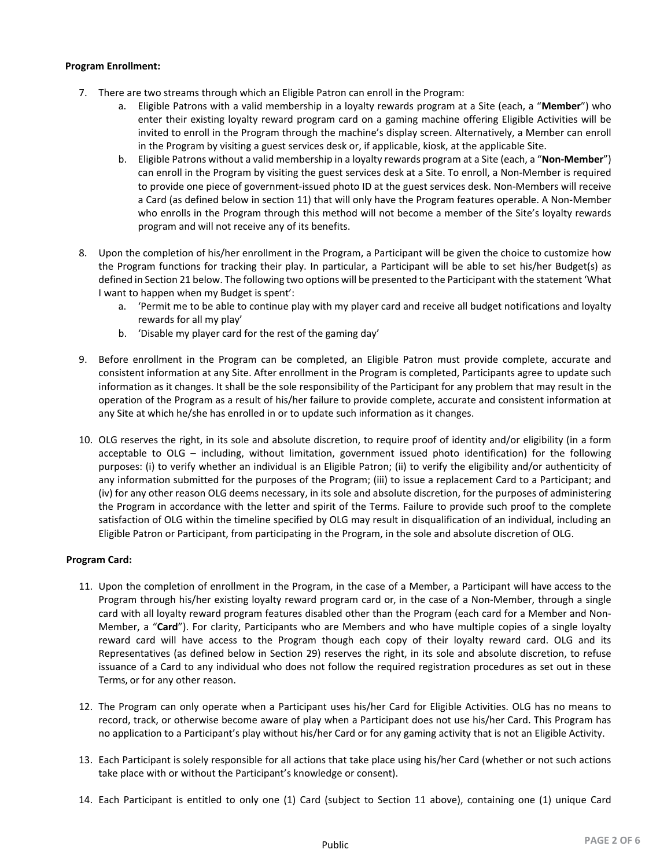## **Program Enrollment:**

- 7. There are two streams through which an Eligible Patron can enroll in the Program:
	- a. Eligible Patrons with a valid membership in a loyalty rewards program at a Site (each, a "**Member**") who enter their existing loyalty reward program card on a gaming machine offering Eligible Activities will be invited to enroll in the Program through the machine's display screen. Alternatively, a Member can enroll in the Program by visiting a guest services desk or, if applicable, kiosk, at the applicable Site.
	- b. Eligible Patrons without a valid membership in a loyalty rewards program at a Site (each, a "**Non-Member**") can enroll in the Program by visiting the guest services desk at a Site. To enroll, a Non-Member is required to provide one piece of government-issued photo ID at the guest services desk. Non-Members will receive a Card (as defined below in section 11) that will only have the Program features operable. A Non-Member who enrolls in the Program through this method will not become a member of the Site's loyalty rewards program and will not receive any of its benefits.
- 8. Upon the completion of his/her enrollment in the Program, a Participant will be given the choice to customize how the Program functions for tracking their play. In particular, a Participant will be able to set his/her Budget(s) as defined in Section 21 below. The following two options will be presented to the Participant with the statement 'What I want to happen when my Budget is spent':
	- a. 'Permit me to be able to continue play with my player card and receive all budget notifications and loyalty rewards for all my play'
	- b. 'Disable my player card for the rest of the gaming day'
- 9. Before enrollment in the Program can be completed, an Eligible Patron must provide complete, accurate and consistent information at any Site. After enrollment in the Program is completed, Participants agree to update such information as it changes. It shall be the sole responsibility of the Participant for any problem that may result in the operation of the Program as a result of his/her failure to provide complete, accurate and consistent information at any Site at which he/she has enrolled in or to update such information as it changes.
- 10. OLG reserves the right, in its sole and absolute discretion, to require proof of identity and/or eligibility (in a form acceptable to OLG – including, without limitation, government issued photo identification) for the following purposes: (i) to verify whether an individual is an Eligible Patron; (ii) to verify the eligibility and/or authenticity of any information submitted for the purposes of the Program; (iii) to issue a replacement Card to a Participant; and (iv) for any other reason OLG deems necessary, in its sole and absolute discretion, for the purposes of administering the Program in accordance with the letter and spirit of the Terms. Failure to provide such proof to the complete satisfaction of OLG within the timeline specified by OLG may result in disqualification of an individual, including an Eligible Patron or Participant, from participating in the Program, in the sole and absolute discretion of OLG.

## **Program Card:**

- 11. Upon the completion of enrollment in the Program, in the case of a Member, a Participant will have access to the Program through his/her existing loyalty reward program card or, in the case of a Non-Member, through a single card with all loyalty reward program features disabled other than the Program (each card for a Member and Non-Member, a "**Card**"). For clarity, Participants who are Members and who have multiple copies of a single loyalty reward card will have access to the Program though each copy of their loyalty reward card. OLG and its Representatives (as defined below in Section 29) reserves the right, in its sole and absolute discretion, to refuse issuance of a Card to any individual who does not follow the required registration procedures as set out in these Terms, or for any other reason.
- 12. The Program can only operate when a Participant uses his/her Card for Eligible Activities. OLG has no means to record, track, or otherwise become aware of play when a Participant does not use his/her Card. This Program has no application to a Participant's play without his/her Card or for any gaming activity that is not an Eligible Activity.
- 13. Each Participant is solely responsible for all actions that take place using his/her Card (whether or not such actions take place with or without the Participant's knowledge or consent).
- 14. Each Participant is entitled to only one (1) Card (subject to Section 11 above), containing one (1) unique Card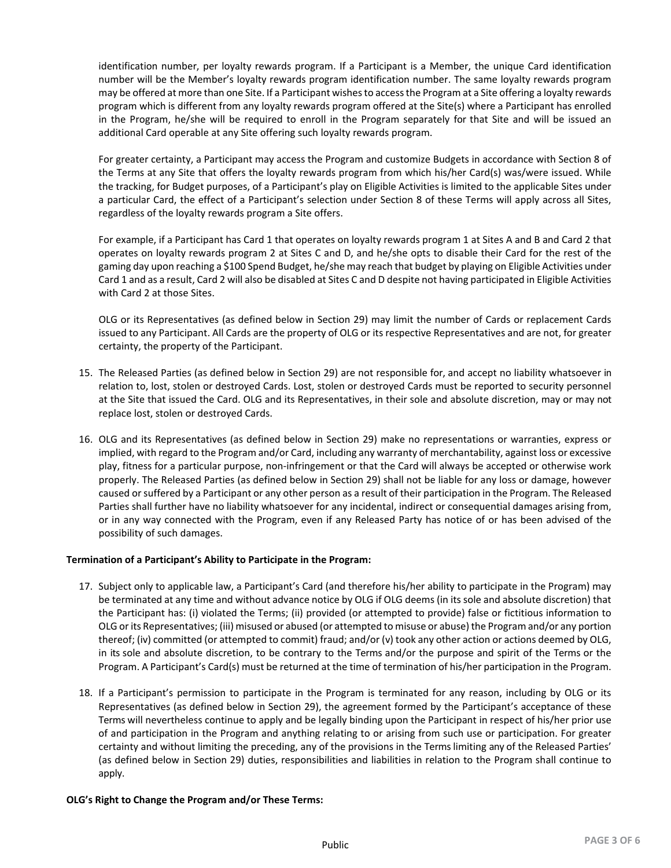identification number, per loyalty rewards program. If a Participant is a Member, the unique Card identification number will be the Member's loyalty rewards program identification number. The same loyalty rewards program may be offered at more than one Site. If a Participant wishes to access the Program at a Site offering a loyalty rewards program which is different from any loyalty rewards program offered at the Site(s) where a Participant has enrolled in the Program, he/she will be required to enroll in the Program separately for that Site and will be issued an additional Card operable at any Site offering such loyalty rewards program.

For greater certainty, a Participant may access the Program and customize Budgets in accordance with Section 8 of the Terms at any Site that offers the loyalty rewards program from which his/her Card(s) was/were issued. While the tracking, for Budget purposes, of a Participant's play on Eligible Activities is limited to the applicable Sites under a particular Card, the effect of a Participant's selection under Section 8 of these Terms will apply across all Sites, regardless of the loyalty rewards program a Site offers.

For example, if a Participant has Card 1 that operates on loyalty rewards program 1 at Sites A and B and Card 2 that operates on loyalty rewards program 2 at Sites C and D, and he/she opts to disable their Card for the rest of the gaming day upon reaching a \$100 Spend Budget, he/she may reach that budget by playing on Eligible Activities under Card 1 and as a result, Card 2 will also be disabled at Sites C and D despite not having participated in Eligible Activities with Card 2 at those Sites.

OLG or its Representatives (as defined below in Section 29) may limit the number of Cards or replacement Cards issued to any Participant. All Cards are the property of OLG or its respective Representatives and are not, for greater certainty, the property of the Participant.

- 15. The Released Parties (as defined below in Section 29) are not responsible for, and accept no liability whatsoever in relation to, lost, stolen or destroyed Cards. Lost, stolen or destroyed Cards must be reported to security personnel at the Site that issued the Card. OLG and its Representatives, in their sole and absolute discretion, may or may not replace lost, stolen or destroyed Cards.
- 16. OLG and its Representatives (as defined below in Section 29) make no representations or warranties, express or implied, with regard to the Program and/or Card, including any warranty of merchantability, against loss or excessive play, fitness for a particular purpose, non-infringement or that the Card will always be accepted or otherwise work properly. The Released Parties (as defined below in Section 29) shall not be liable for any loss or damage, however caused or suffered by a Participant or any other person as a result of their participation in the Program. The Released Parties shall further have no liability whatsoever for any incidental, indirect or consequential damages arising from, or in any way connected with the Program, even if any Released Party has notice of or has been advised of the possibility of such damages.

## **Termination of a Participant's Ability to Participate in the Program:**

- 17. Subject only to applicable law, a Participant's Card (and therefore his/her ability to participate in the Program) may be terminated at any time and without advance notice by OLG if OLG deems (in its sole and absolute discretion) that the Participant has: (i) violated the Terms; (ii) provided (or attempted to provide) false or fictitious information to OLG or its Representatives; (iii) misused or abused (or attempted to misuse or abuse) the Program and/or any portion thereof; (iv) committed (or attempted to commit) fraud; and/or (v) took any other action or actions deemed by OLG, in its sole and absolute discretion, to be contrary to the Terms and/or the purpose and spirit of the Terms or the Program. A Participant's Card(s) must be returned at the time of termination of his/her participation in the Program.
- 18. If a Participant's permission to participate in the Program is terminated for any reason, including by OLG or its Representatives (as defined below in Section 29), the agreement formed by the Participant's acceptance of these Terms will nevertheless continue to apply and be legally binding upon the Participant in respect of his/her prior use of and participation in the Program and anything relating to or arising from such use or participation. For greater certainty and without limiting the preceding, any of the provisions in the Terms limiting any of the Released Parties' (as defined below in Section 29) duties, responsibilities and liabilities in relation to the Program shall continue to apply.

## **OLG's Right to Change the Program and/or These Terms:**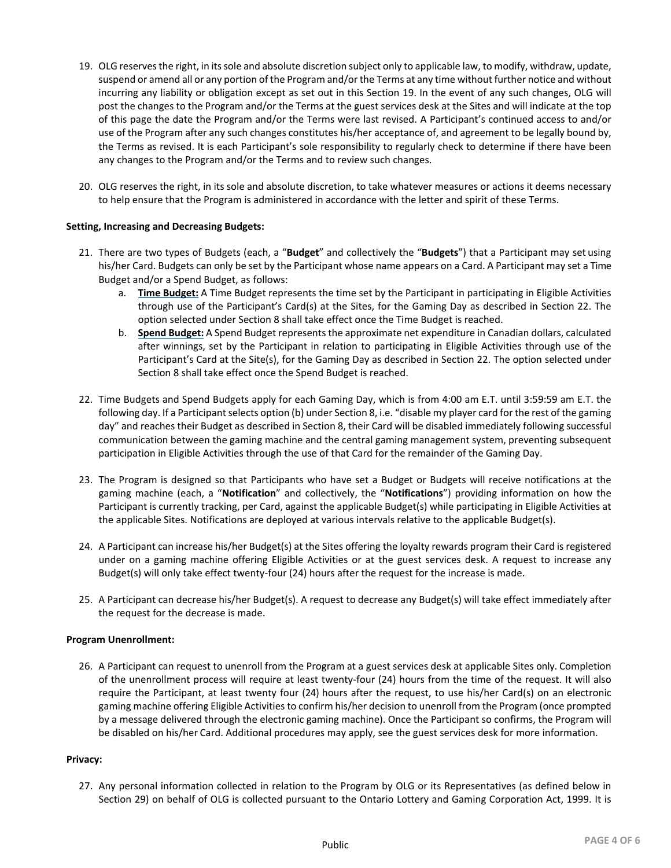- 19. OLG reserves the right, in its sole and absolute discretion subject only to applicable law, to modify, withdraw, update, suspend or amend all or any portion of the Program and/or the Terms at any time without further notice and without incurring any liability or obligation except as set out in this Section 19. In the event of any such changes, OLG will post the changes to the Program and/or the Terms at the guest services desk at the Sites and will indicate at the top of this page the date the Program and/or the Terms were last revised. A Participant's continued access to and/or use of the Program after any such changes constitutes his/her acceptance of, and agreement to be legally bound by, the Terms as revised. It is each Participant's sole responsibility to regularly check to determine if there have been any changes to the Program and/or the Terms and to review such changes.
- 20. OLG reserves the right, in its sole and absolute discretion, to take whatever measures or actions it deems necessary to help ensure that the Program is administered in accordance with the letter and spirit of these Terms.

#### **Setting, Increasing and Decreasing Budgets:**

- 21. There are two types of Budgets (each, a "**Budget**" and collectively the "**Budgets**") that a Participant may set using his/her Card. Budgets can only be set by the Participant whose name appears on a Card. A Participant may set a Time Budget and/or a Spend Budget, as follows:
	- a. **Time Budget:** A Time Budget represents the time set by the Participant in participating in Eligible Activities through use of the Participant's Card(s) at the Sites, for the Gaming Day as described in Section 22. The option selected under Section 8 shall take effect once the Time Budget is reached.
	- b. **Spend Budget:** A Spend Budget represents the approximate net expenditure in Canadian dollars, calculated after winnings, set by the Participant in relation to participating in Eligible Activities through use of the Participant's Card at the Site(s), for the Gaming Day as described in Section 22. The option selected under Section 8 shall take effect once the Spend Budget is reached.
- 22. Time Budgets and Spend Budgets apply for each Gaming Day, which is from 4:00 am E.T. until 3:59:59 am E.T. the following day. If a Participant selects option (b) under Section 8, i.e. "disable my player card for the rest of the gaming day" and reaches their Budget as described in Section 8, their Card will be disabled immediately following successful communication between the gaming machine and the central gaming management system, preventing subsequent participation in Eligible Activities through the use of that Card for the remainder of the Gaming Day.
- 23. The Program is designed so that Participants who have set a Budget or Budgets will receive notifications at the gaming machine (each, a "**Notification**" and collectively, the "**Notifications**") providing information on how the Participant is currently tracking, per Card, against the applicable Budget(s) while participating in Eligible Activities at the applicable Sites. Notifications are deployed at various intervals relative to the applicable Budget(s).
- 24. A Participant can increase his/her Budget(s) at the Sites offering the loyalty rewards program their Card is registered under on a gaming machine offering Eligible Activities or at the guest services desk. A request to increase any Budget(s) will only take effect twenty-four (24) hours after the request for the increase is made.
- 25. A Participant can decrease his/her Budget(s). A request to decrease any Budget(s) will take effect immediately after the request for the decrease is made.

#### **Program Unenrollment:**

26. A Participant can request to unenroll from the Program at a guest services desk at applicable Sites only. Completion of the unenrollment process will require at least twenty-four (24) hours from the time of the request. It will also require the Participant, at least twenty four (24) hours after the request, to use his/her Card(s) on an electronic gaming machine offering Eligible Activities to confirm his/her decision to unenroll from the Program (once prompted by a message delivered through the electronic gaming machine). Once the Participant so confirms, the Program will be disabled on his/her Card. Additional procedures may apply, see the guest services desk for more information.

#### **Privacy:**

27. Any personal information collected in relation to the Program by OLG or its Representatives (as defined below in Section 29) on behalf of OLG is collected pursuant to the Ontario Lottery and Gaming Corporation Act, 1999. It is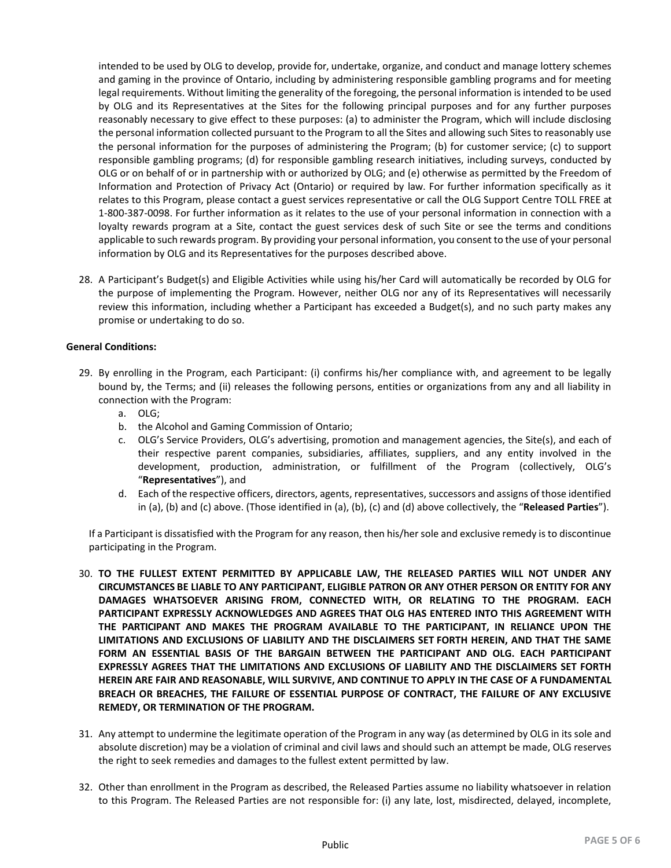intended to be used by OLG to develop, provide for, undertake, organize, and conduct and manage lottery schemes and gaming in the province of Ontario, including by administering responsible gambling programs and for meeting legal requirements. Without limiting the generality of the foregoing, the personal information is intended to be used by OLG and its Representatives at the Sites for the following principal purposes and for any further purposes reasonably necessary to give effect to these purposes: (a) to administer the Program, which will include disclosing the personal information collected pursuant to the Program to all the Sites and allowing such Sites to reasonably use the personal information for the purposes of administering the Program; (b) for customer service; (c) to support responsible gambling programs; (d) for responsible gambling research initiatives, including surveys, conducted by OLG or on behalf of or in partnership with or authorized by OLG; and (e) otherwise as permitted by the Freedom of Information and Protection of Privacy Act (Ontario) or required by law. For further information specifically as it relates to this Program, please contact a guest services representative or call the OLG Support Centre TOLL FREE at 1-800-387-0098. For further information as it relates to the use of your personal information in connection with a loyalty rewards program at a Site, contact the guest services desk of such Site or see the terms and conditions applicable to such rewards program. By providing your personal information, you consent to the use of your personal information by OLG and its Representatives for the purposes described above.

28. A Participant's Budget(s) and Eligible Activities while using his/her Card will automatically be recorded by OLG for the purpose of implementing the Program. However, neither OLG nor any of its Representatives will necessarily review this information, including whether a Participant has exceeded a Budget(s), and no such party makes any promise or undertaking to do so.

## **General Conditions:**

- 29. By enrolling in the Program, each Participant: (i) confirms his/her compliance with, and agreement to be legally bound by, the Terms; and (ii) releases the following persons, entities or organizations from any and all liability in connection with the Program:
	- a. OLG;
	- b. the Alcohol and Gaming Commission of Ontario;
	- c. OLG's Service Providers, OLG's advertising, promotion and management agencies, the Site(s), and each of their respective parent companies, subsidiaries, affiliates, suppliers, and any entity involved in the development, production, administration, or fulfillment of the Program (collectively, OLG's "**Representatives**"), and
	- d. Each of the respective officers, directors, agents, representatives, successors and assigns of those identified in (a), (b) and (c) above. (Those identified in (a), (b), (c) and (d) above collectively, the "**Released Parties**").

If a Participant is dissatisfied with the Program for any reason, then his/her sole and exclusive remedy is to discontinue participating in the Program.

- 30. **TO THE FULLEST EXTENT PERMITTED BY APPLICABLE LAW, THE RELEASED PARTIES WILL NOT UNDER ANY CIRCUMSTANCES BE LIABLE TO ANY PARTICIPANT, ELIGIBLE PATRON OR ANY OTHER PERSON OR ENTITY FOR ANY DAMAGES WHATSOEVER ARISING FROM, CONNECTED WITH, OR RELATING TO THE PROGRAM. EACH PARTICIPANT EXPRESSLY ACKNOWLEDGES AND AGREES THAT OLG HAS ENTERED INTO THIS AGREEMENT WITH THE PARTICIPANT AND MAKES THE PROGRAM AVAILABLE TO THE PARTICIPANT, IN RELIANCE UPON THE LIMITATIONS AND EXCLUSIONS OF LIABILITY AND THE DISCLAIMERS SET FORTH HEREIN, AND THAT THE SAME FORM AN ESSENTIAL BASIS OF THE BARGAIN BETWEEN THE PARTICIPANT AND OLG. EACH PARTICIPANT EXPRESSLY AGREES THAT THE LIMITATIONS AND EXCLUSIONS OF LIABILITY AND THE DISCLAIMERS SET FORTH HEREIN ARE FAIR AND REASONABLE, WILL SURVIVE, AND CONTINUE TO APPLY IN THE CASE OF A FUNDAMENTAL BREACH OR BREACHES, THE FAILURE OF ESSENTIAL PURPOSE OF CONTRACT, THE FAILURE OF ANY EXCLUSIVE REMEDY, OR TERMINATION OF THE PROGRAM.**
- 31. Any attempt to undermine the legitimate operation of the Program in any way (as determined by OLG in its sole and absolute discretion) may be a violation of criminal and civil laws and should such an attempt be made, OLG reserves the right to seek remedies and damages to the fullest extent permitted by law.
- 32. Other than enrollment in the Program as described, the Released Parties assume no liability whatsoever in relation to this Program. The Released Parties are not responsible for: (i) any late, lost, misdirected, delayed, incomplete,